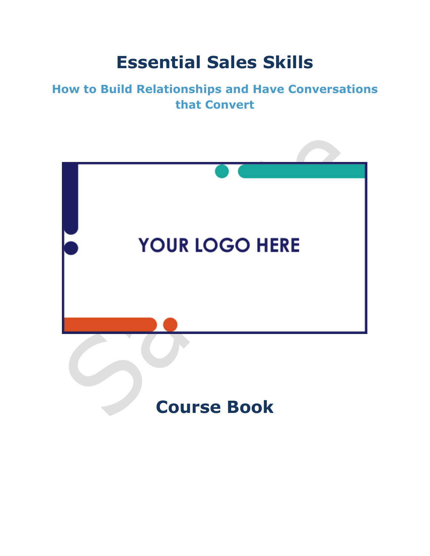## **Essential Sales Skills**

## **How to Build Relationships and Have Conversations that Convert**

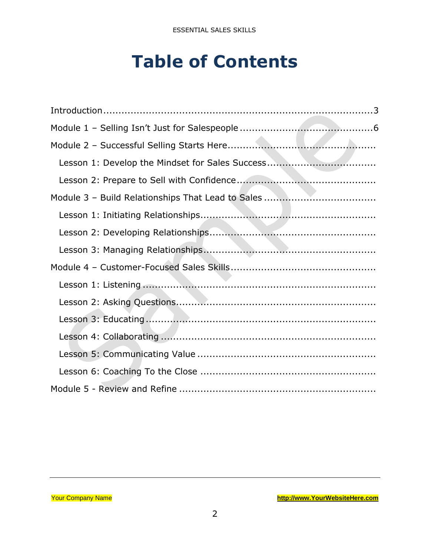## **Table of Contents**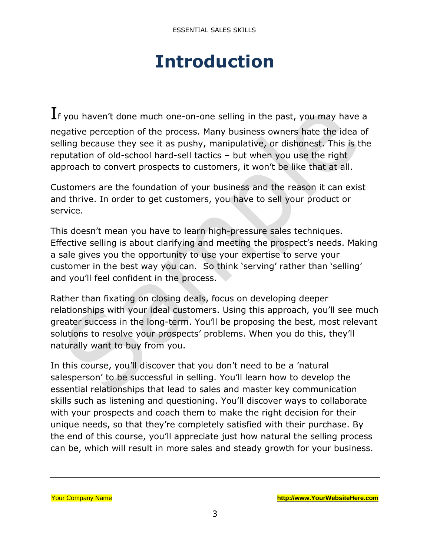## **Introduction**

<span id="page-2-0"></span> $\mathbf I$ f you haven't done much one-on-one selling in the past, you may have a negative perception of the process. Many business owners hate the idea of selling because they see it as pushy, manipulative, or dishonest. This is the reputation of old-school hard-sell tactics – but when you use the right approach to convert prospects to customers, it won't be like that at all.

Customers are the foundation of your business and the reason it can exist and thrive. In order to get customers, you have to sell your product or service.

This doesn't mean you have to learn high-pressure sales techniques. Effective selling is about clarifying and meeting the prospect's needs. Making a sale gives you the opportunity to use your expertise to serve your customer in the best way you can. So think 'serving' rather than 'selling' and you'll feel confident in the process.

Rather than fixating on closing deals, focus on developing deeper relationships with your ideal customers. Using this approach, you'll see much greater success in the long-term. You'll be proposing the best, most relevant solutions to resolve your prospects' problems. When you do this, they'll naturally want to buy from you.

In this course, you'll discover that you don't need to be a 'natural salesperson' to be successful in selling. You'll learn how to develop the essential relationships that lead to sales and master key communication skills such as listening and questioning. You'll discover ways to collaborate with your prospects and coach them to make the right decision for their unique needs, so that they're completely satisfied with their purchase. By the end of this course, you'll appreciate just how natural the selling process can be, which will result in more sales and steady growth for your business.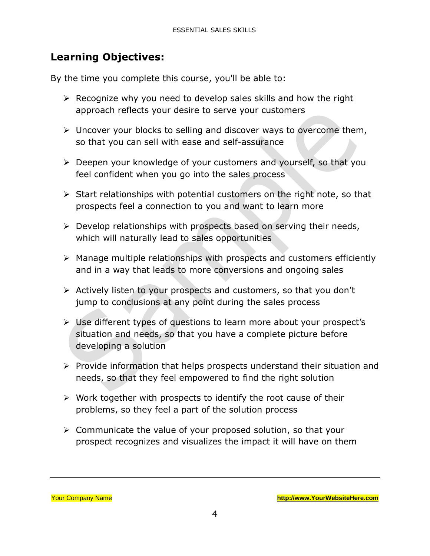### **Learning Objectives:**

By the time you complete this course, you'll be able to:

- $\triangleright$  Recognize why you need to develop sales skills and how the right approach reflects your desire to serve your customers
- ➢ Uncover your blocks to selling and discover ways to overcome them, so that you can sell with ease and self-assurance
- ➢ Deepen your knowledge of your customers and yourself, so that you feel confident when you go into the sales process
- ➢ Start relationships with potential customers on the right note, so that prospects feel a connection to you and want to learn more
- ➢ Develop relationships with prospects based on serving their needs, which will naturally lead to sales opportunities
- ➢ Manage multiple relationships with prospects and customers efficiently and in a way that leads to more conversions and ongoing sales
- ➢ Actively listen to your prospects and customers, so that you don't jump to conclusions at any point during the sales process
- ➢ Use different types of questions to learn more about your prospect's situation and needs, so that you have a complete picture before developing a solution
- ➢ Provide information that helps prospects understand their situation and needs, so that they feel empowered to find the right solution
- ➢ Work together with prospects to identify the root cause of their problems, so they feel a part of the solution process
- ➢ Communicate the value of your proposed solution, so that your prospect recognizes and visualizes the impact it will have on them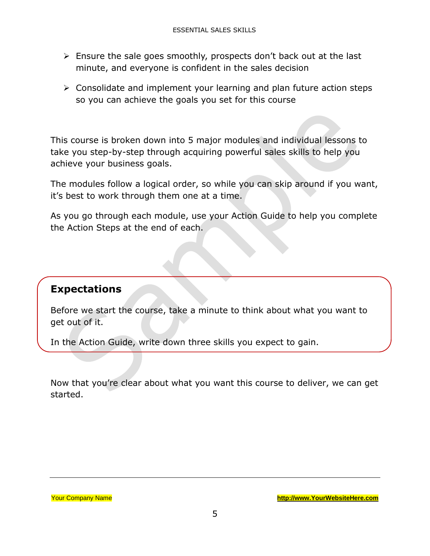- ➢ Ensure the sale goes smoothly, prospects don't back out at the last minute, and everyone is confident in the sales decision
- $\triangleright$  Consolidate and implement your learning and plan future action steps so you can achieve the goals you set for this course

This course is broken down into 5 major modules and individual lessons to take you step-by-step through acquiring powerful sales skills to help you achieve your business goals.

The modules follow a logical order, so while you can skip around if you want, it's best to work through them one at a time.

As you go through each module, use your Action Guide to help you complete the Action Steps at the end of each.

#### **Expectations**

Before we start the course, take a minute to think about what you want to get out of it.

In the Action Guide, write down three skills you expect to gain.

Now that you're clear about what you want this course to deliver, we can get started.

Your Company Name **[http://www.YourWebsiteHere.com](http://www.yourwebsitehere.com/)**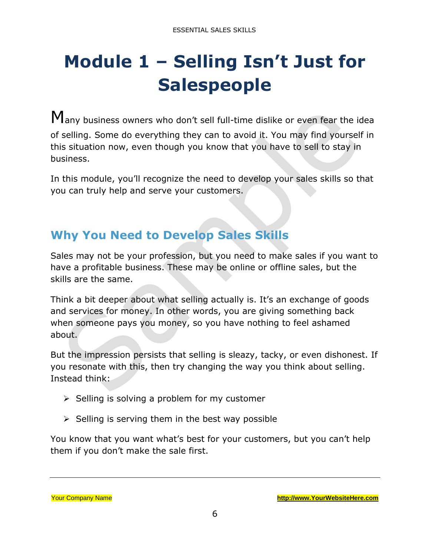# <span id="page-5-0"></span>**Module 1 – Selling Isn't Just for Salespeople**

Many business owners who don't sell full-time dislike or even fear the idea of selling. Some do everything they can to avoid it. You may find yourself in this situation now, even though you know that you have to sell to stay in business.

In this module, you'll recognize the need to develop your sales skills so that you can truly help and serve your customers.

## **Why You Need to Develop Sales Skills**

Sales may not be your profession, but you need to make sales if you want to have a profitable business. These may be online or offline sales, but the skills are the same.

Think a bit deeper about what selling actually is. It's an exchange of goods and services for money. In other words, you are giving something back when someone pays you money, so you have nothing to feel ashamed about.

But the impression persists that selling is sleazy, tacky, or even dishonest. If you resonate with this, then try changing the way you think about selling. Instead think:

- $\triangleright$  Selling is solving a problem for my customer
- $\triangleright$  Selling is serving them in the best way possible

You know that you want what's best for your customers, but you can't help them if you don't make the sale first.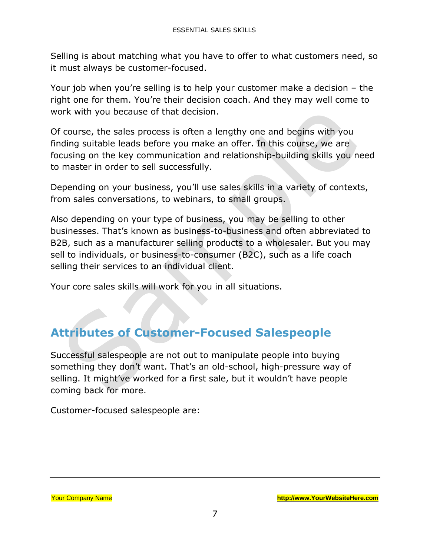Selling is about matching what you have to offer to what customers need, so it must always be customer-focused.

Your job when you're selling is to help your customer make a decision – the right one for them. You're their decision coach. And they may well come to work with you because of that decision.

Of course, the sales process is often a lengthy one and begins with you finding suitable leads before you make an offer. In this course, we are focusing on the key communication and relationship-building skills you need to master in order to sell successfully.

Depending on your business, you'll use sales skills in a variety of contexts, from sales conversations, to webinars, to small groups.

Also depending on your type of business, you may be selling to other businesses. That's known as business-to-business and often abbreviated to B2B, such as a manufacturer selling products to a wholesaler. But you may sell to individuals, or business-to-consumer (B2C), such as a life coach selling their services to an individual client.

Your core sales skills will work for you in all situations.

### **Attributes of Customer-Focused Salespeople**

Successful salespeople are not out to manipulate people into buying something they don't want. That's an old-school, high-pressure way of selling. It might've worked for a first sale, but it wouldn't have people coming back for more.

Customer-focused salespeople are: